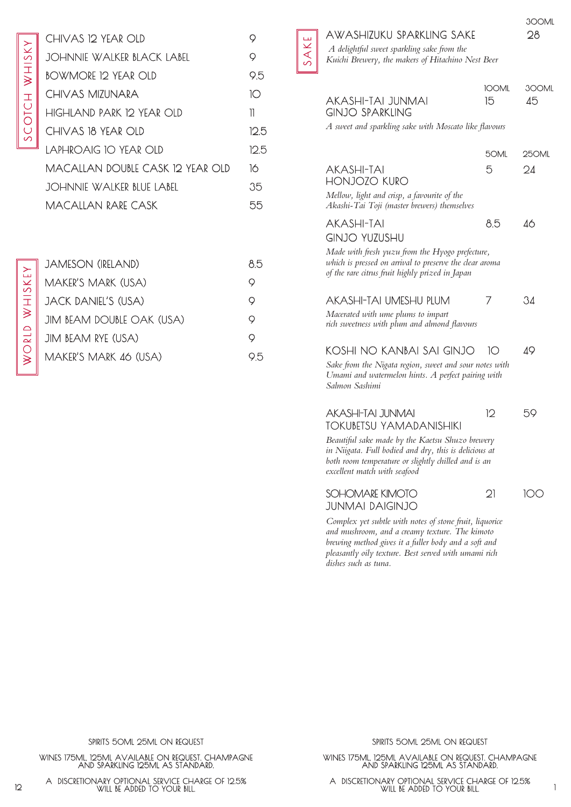| ì                        |  |
|--------------------------|--|
| г                        |  |
|                          |  |
|                          |  |
|                          |  |
| ζ                        |  |
|                          |  |
|                          |  |
|                          |  |
|                          |  |
| $\overline{\mathcal{L}}$ |  |
|                          |  |
|                          |  |
| Ò                        |  |
|                          |  |
|                          |  |
|                          |  |
| <u>(</u>                 |  |

| CHIVAS 12 YEAR OLD               | Q    |
|----------------------------------|------|
| JOHNNIE WALKER BLACK LABEL       | 9    |
| BOWMORE 12 YEAR OLD              | 9.5  |
| CHIVAS MIZUNARA                  | 10   |
| HIGHLAND PARK 12 YEAR OLD        | 11   |
| CHIVAS 18 YEAR OLD               | 125  |
| LAPHROAIG 10 YEAR OLD            | 12.5 |
| MACALLAN DOUBLE CASK 12 YEAR OLD | 16   |
| JOHNNIE WALKER BLUE LABEL        | 35   |
| <b>MACALLAN RARE CASK</b>        | 55   |

| <b>JAMESON (IRELAND)</b>  | 85  |
|---------------------------|-----|
| MAKER'S MARK (USA)        | Ő   |
| JACK DANIEL'S (USA)       | Q   |
| JIM BEAM DOUBLE OAK (USA) | Ő   |
| JIM BEAM RYE (USA)        | Ô   |
| MAKER'S MARK 46 (USA)     | ר'ַ |

## AWASHIZUKU SPARKLING SAKE 28

SAKE

 *A delightful sweet sparkling sake from the Kuichi Brewery, the makers of Hitachino Nest Beer*

| ╜ |                                                                                                                                                                                                 |                    |             |
|---|-------------------------------------------------------------------------------------------------------------------------------------------------------------------------------------------------|--------------------|-------------|
|   | AKASHI-TAI JUNMAI<br><b>GINJO SPARKLING</b>                                                                                                                                                     | <b>IOOML</b><br>15 | 300ML<br>45 |
|   | A sweet and sparkling sake with Moscato like flavours                                                                                                                                           |                    |             |
|   |                                                                                                                                                                                                 | 50ML               | 250ML       |
|   | <b>AKASHI-TAI</b><br><b>HONJOZO KURO</b>                                                                                                                                                        | 5                  | 24          |
|   | Mellow, light and crisp, a favourite of the<br>Akashi-Tai Toji (master brewers) themselves                                                                                                      |                    |             |
|   | <b>AKASHI-TAI</b><br><b>GINJO YUZUSHU</b>                                                                                                                                                       | 8.5                | 46          |
|   | Made with fresh yuzu from the Hyogo prefecture,<br>which is pressed on arrival to preserve the clear aroma<br>of the rare citrus fruit highly prized in Japan                                   |                    |             |
|   | AKASHI-TAI UMESHU PLUM<br>Macerated with ume plums to impart<br>rich sweetness with plum and almond flavours                                                                                    | 7                  | 34          |
|   | KOSHI NO KANBAI SAI GINJO                                                                                                                                                                       | 10                 | 49          |
|   | Sake from the Nigata region, sweet and sour notes with<br>Umami and watermelon hints. A perfect pairing with<br>Salmon Sashimi                                                                  |                    |             |
|   | AKASHI-TAI JUNMAI<br><b>TOKUBETSU YAMADANISHIKI</b>                                                                                                                                             | 12                 | 59          |
|   | Beautiful sake made by the Kaetsu Shuzo brewery<br>in Niigata. Full bodied and dry, this is delicious at<br>both room temperature or slightly chilled and is an<br>excellent match with seafood |                    |             |
|   | SOHOMARE KIMOTO<br><b>JUNMAI DAIGINJO</b>                                                                                                                                                       | $\mathfrak{D}$     | IC IC       |

*Complex yet subtle with notes of stone fruit, liquorice and mushroom, and a creamy texture. The kimoto brewing method gives it a fuller body and a soft and pleasantly oily texture. Best served with umami rich dishes such as tuna.*

SPIRITS 50ML 25ML ON REQUEST

WINES 175ML, 125ML AVAILABLE ON REQUEST. CHAMPAGNE AND SPARKLING 125ML AS STANDARD.

WILL BE ADDED TO YOUR BILL.

SPIRITS 50ML 25ML ON REQUEST

WINES 175ML, 125ML AVAILABLE ON REQUEST. CHAMPAGNE AND SPARKLING 125ML AS STANDARD.

A DISCRETIONARY OPTIONAL SERVICE CHARGE OF 12.5% WILL BE ADDED TO YOUR BILL. 12 1 A DISCRETIONARY OPTIONAL SERVICE CHARGE OF 12.5%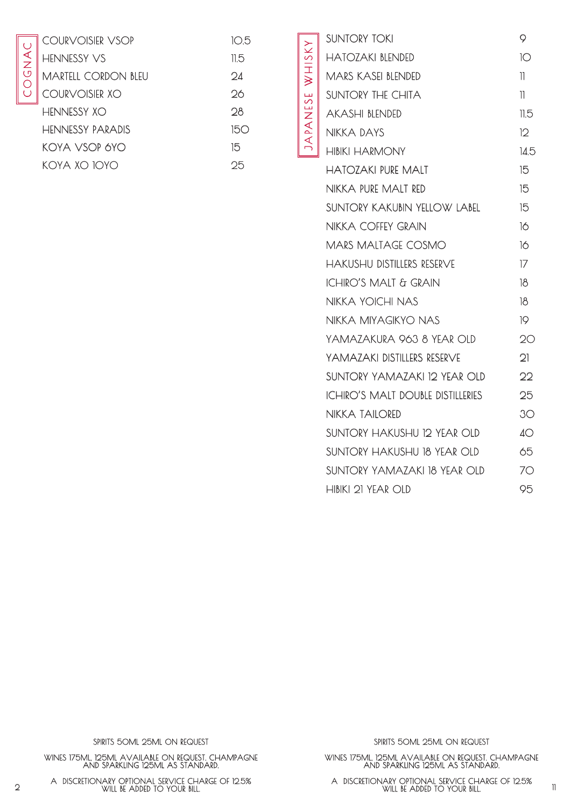| ŗ<br>j |
|--------|
|        |
|        |
| ŗ.     |
|        |
|        |
|        |

| COURVOISIER VSOP    | 105  |
|---------------------|------|
| <b>HENNESSY VS</b>  | 11.5 |
| MARTEIL CORDON BLEU | Ωđ   |
| COURVOISIER XO      | 26   |
| <b>HENNESSY XO</b>  | 28   |
| HENNESSY PARADIS    | 150  |
| KOYA VSOP 6YO       | 15   |
| koya xo 10yo        | 25   |

| <b>SUNTORY TOKI</b>                      | 9              |
|------------------------------------------|----------------|
| <b>HATOZAKI BLENDED</b>                  | 10             |
| <b>MARS KASEI BLENDED</b>                | 11             |
| <b>SUNTORY THE CHITA</b>                 | 11             |
| <b>AKASHI BLENDED</b>                    | 11.5           |
| <b>NIKKA DAYS</b>                        | 12             |
| <b>HIBIKI HARMONY</b>                    | 14.5           |
| <b>HATOZAKI PURE MALT</b>                | 15             |
| NIKKA PURE MALT RED                      | 15             |
| <b>SUNTORY KAKUBIN YELLOW LABEL</b>      | 15             |
| <b>NIKKA COFFEY GRAIN</b>                | 16             |
| <b>MARS MALTAGE COSMO</b>                | 16             |
| <b>HAKUSHU DISTILLERS RESERVE</b>        | 17             |
| <b>ICHIRO'S MALT &amp; GRAIN</b>         | 18             |
| <b>NIKKA YOICHI NAS</b>                  | 18             |
| NIKKA MIYAGIKYO NAS                      | 19             |
| YAMAZAKURA 963 8 YEAR OLD                | 20             |
| YAMAZAKI DISTILLERS RESERVE              | $\mathfrak{D}$ |
| SUNTORY YAMAZAKI 12 YEAR OLD             | 22             |
| <b>ICHIRO'S MALT DOUBLE DISTILLERIES</b> | 25             |
| <b>NIKKA TAILORED</b>                    | 3O             |
| SUNTORY HAKUSHU 12 YEAR OLD              | 4O             |
| SUNTORY HAKUSHU 18 YEAR OLD              | 65             |
| SUNTORY YAMAZAKI 18 YEAR OLD             | 70             |
| HIBIKI 21 YEAR OLD                       | 95             |

JA PA N E S E W H I S KY

JAPANESE WHISKY

SPIRITS 50ML 25ML ON REQUEST

WINES 175ML, 125ML AVAILABLE ON REQUEST. CHAMPAGNE AND SPARKLING 125ML AS STANDARD.

SPIRITS 50ML 25ML ON REQUEST

WINES 175ML, 125ML AVAILABLE ON REQUEST. CHAMPAGNE AND SPARKLING 125ML AS STANDARD.

WILL BE ADDED TO YOUR BILL.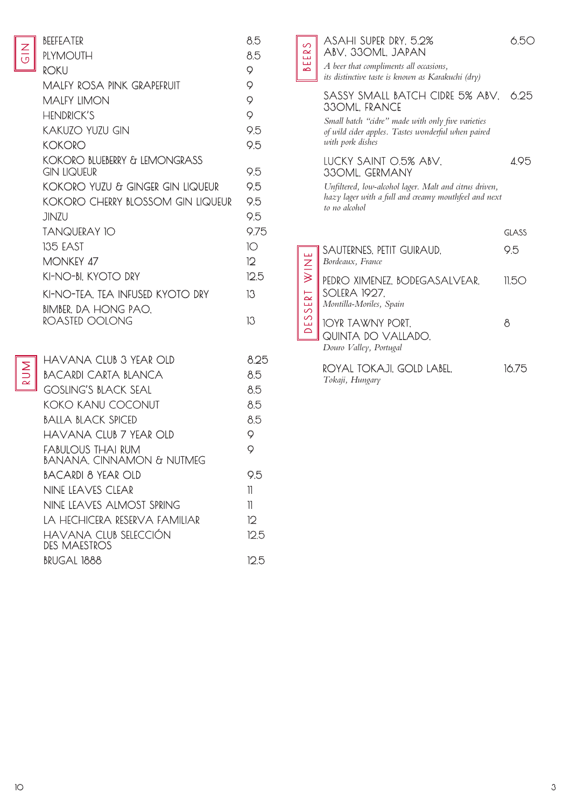|   | BEEFEATER                                    | 8.5             |
|---|----------------------------------------------|-----------------|
|   | <b>PLYMOUTH</b>                              | 8.5             |
|   | <b>ROKU</b>                                  | 9               |
|   | MALFY ROSA PINK GRAPEFRUIT                   | 9               |
|   | <b>MALFY LIMON</b>                           | 9               |
|   | <b>HENDRICK'S</b>                            | 9               |
|   | KAKUZO YUZU GIN                              | 9.5             |
|   | KOKORO                                       | 9.5             |
|   | KOKORO BLUEBERRY & LEMONGRASS<br>GIN LIQUEUR | 9.5             |
|   | KOKORO YUZU & GINGER GIN LIQUEUR             | 9.5             |
|   | KOKORO CHERRY BLOSSOM GIN LIQUEUR            | 9.5             |
|   | jinzu                                        | 9.5             |
|   | <b>TANQUERAY 10</b>                          | 9.75            |
|   | <b>135 EAST</b>                              | 10              |
|   | <b>MONKEY 47</b>                             | 12 <sup>°</sup> |
|   | KI-NO-BI, KYOTO DRY                          | 12.5            |
|   | KI-NO-TEA, TEA INFUSED KYOTO DRY             | 13              |
|   | <b>BIMBER, DA HONG PAO.</b>                  |                 |
|   | ROASTED OOLONG                               | 13              |
|   |                                              |                 |
| 1 | HAVANA CLUB 3 YEAR OLD                       | 825             |
|   |                                              |                 |

 $\frac{Z}{\sigma}$ 

RUM

| havana ciub 3 year oid                         | 825  |
|------------------------------------------------|------|
| BACARDI CARTA BLANCA                           | 8.5  |
| GOSLING'S BLACK SEAL                           | 8.5  |
| <b>KOKO KANU COCONUT</b>                       | 8.5  |
| BALLA BLACK SPICED                             | 85   |
| havana ciub 7 yfar oid                         | 9    |
| eabulous thai rum<br>BANANA. CINNAMON & NUTMEG | 9    |
| BACARDI 8 YEAR OI D                            | 95   |
| NINE LEAVES CLEAR                              | 11   |
| NINE LEAVES ALMOST SPRING                      | 11   |
| ta hechicera reserva familiar                  | 12   |
| HAVANA CLUB SELECCIÓN<br>DES MAESTROS          | 125  |
| BRUGAL 1888                                    | 12.5 |

|  | ASAHI SUPER DRY, 5.29 |  |
|--|-----------------------|--|
|  | ABV, 330ML, JAPAN     |  |

BEERS

*A beer that compliments all occasions, its distinctive taste is known as Karakuchi (dry)*

## SASSY SMALL BATCH CIDRE 5% ABV, 6.25 330ML, FRANCE

*Small batch "cidre" made with only five varieties of wild cider apples. Tastes wonderful when paired with pork dishes*

## LUCKY SAINT 0.5% ABV, 4.95 330ML, GERMANY

*Unfiltered, low-alcohol lager. Malt and citrus driven, hazy lager with a full and creamy mouthfeel and next to no alcohol*

|                       |                                                                                 | GLASS. |
|-----------------------|---------------------------------------------------------------------------------|--------|
| WINE<br>X             | SAUTERNES, PETIT GUIRAUD,<br>Bordeaux, France                                   | 95     |
| ESSERT<br>$\triangle$ | PEDRO XIMENEZ, BODEGASALVEAR,<br><b>SOLERA 1927,</b><br>Montilla-Moriles, Spain | 1150   |
|                       | IOYR TAWNY PORT,<br>QUINTA DO VALLADO,<br>Douro Valley, Portugal                |        |
|                       | $\cap$ וז ג ג ב חבר ה $\cap$ וב ג $\cap$ ר ה                                    | 16 75. |

ROYAL TOKAJI, GOLD LABEL, *Tokaji, Hungary* 16.75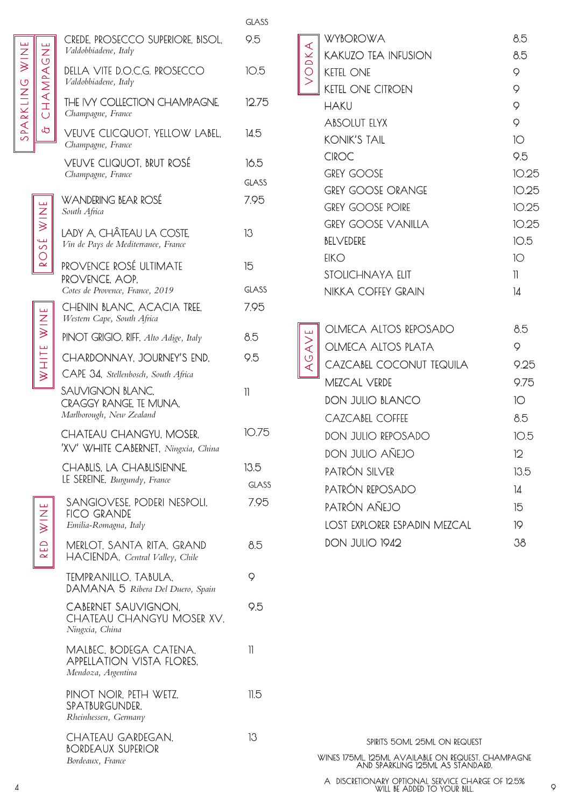|            | CREDE, PROSECCO SUPERIORE, BISOL,<br>Valdobbiadene, Italy                        | 9.5                  |
|------------|----------------------------------------------------------------------------------|----------------------|
|            | DELLA VITE D.O.C.G. PROSECCO<br>Valdobbiadene, Italy                             | 10.5                 |
| CHAMPAGNE  | THE IVY COLLECTION CHAMPAGNE.<br>Champagne, France                               | 12.75                |
| .<br>ආ     | <b>VEUVE CLICQUOT. YELLOW LABEL.</b><br>Champagne, France                        | 14.5                 |
|            | VEUVE CLIQUOT, BRUT ROSÉ<br>Champagne, France                                    | 16.5<br>GLASS        |
|            | WANDERING BEAR ROSÉ<br>South Africa                                              | 7.95                 |
| ROSÉ WINE  | LADY A. CHÂTEAU LA COSTE.<br>Vin de Pays de Mediterranee, France                 | 13                   |
|            | PROVENCE ROSÉ ULTIMATE<br>PROVENCE, AOP.                                         | 15                   |
|            | Cotes de Provence, France, 2019                                                  | GLASS                |
| WHITE WINE | <b>CHENIN BLANC, ACACIA TREE,</b><br>Western Cape, South Africa                  | 7.95                 |
|            | PINOT GRIGIO, RIFF, Alto Adige, Italy                                            | 8.5                  |
|            | CHARDONNAY, JOURNEY'S END,                                                       | 9.5                  |
|            | CAPE 34, Stellenbosch, South Africa                                              |                      |
|            | SAUVIGNON BLANC.<br><b>CRAGGY RANGE TE MUNA.</b><br>Marlborough, New Zealand     | $\mathbb{I}$         |
|            | CHATEAU CHANGYU, MOSER,<br>'XV' WHITE CABERNET, Ningxia, China                   | 10.75                |
|            | CHABLIS, LA CHABLISIENNE,<br>LE SEREINE, Burgundy, France                        | 13.5<br><b>GLASS</b> |
| RED WINE   | SANGIOVESE, PODERI NESPOLI,<br><b>FICO GRANDE</b><br>Emilia-Romagna, Italy       | 7.95                 |
|            | MERLOT, SANTA RITA, GRAND<br>HACIENDA, Central Valley, Chile                     | 8.5                  |
|            | TEMPRANILLO, TABULA,<br>DAMANA 5 Ribera Del Duero, Spain                         | 9                    |
|            | CABERNET SAUVIGNON.<br>CHATEAU CHANGYU MOSER XV.<br>Ningxia, China               | 9.5                  |
|            | MALBEC, BODEGA CATENA,<br><b>APPELLATION VISTA FLORES,</b><br>Mendoza, Argentina | 11                   |
|            | PINOT NOIR, PETH WETZ,<br>SPATBURGUNDER,<br>Rheinhessen, Germany                 | 11.5                 |
|            | CHATEAU GARDEGAN.<br><b>BORDEAUX SUPERIOR</b><br>Bordeaux, France                | 13                   |

GLASS

|       | <b>WYBOROWA</b>                     | 8.5          |
|-------|-------------------------------------|--------------|
| VODKA | <b>KAKUZO TEA INFUSION</b>          | 8.5          |
|       | <b>KETEL ONE</b>                    | 9            |
|       | <b>KETEL ONE CITROEN</b>            | 9            |
|       | <b>HAKU</b>                         | 9            |
|       | <b>ABSOLUT ELYX</b>                 | 9            |
|       | <b>KONIK'S TAIL</b>                 | 10           |
|       | <b>CIROC</b>                        | 9.5          |
|       | <b>GREY GOOSE</b>                   | 10.25        |
|       | <b>GREY GOOSE ORANGE</b>            | 10.25        |
|       | <b>GREY GOOSE POIRE</b>             | 10.25        |
|       | <b>GREY GOOSE VANILLA</b>           | 10.25        |
|       | <b>BELVEDERE</b>                    | 10.5         |
|       | EIKO                                | 10           |
|       | STOLICHNAYA ELIT                    | $\mathbb{I}$ |
|       | NIKKA COFFEY GRAIN                  | 14           |
|       |                                     |              |
|       | OLMECA ALTOS REPOSADO               |              |
|       |                                     | 8.5          |
|       | <b>OLMECA ALTOS PLATA</b>           | 9            |
| AGAVE | CAZCABEL COCONUT TEQUILA            | 9.25         |
|       | <b>MEZCAL VERDE</b>                 | 9.75         |
|       | <b>DON JULIO BLANCO</b>             | 10           |
|       | <b>CAZCABEL COFFEE</b>              | 8.5          |
|       | DON JULIO REPOSADO                  | 10.5         |
|       | DON JULIO AÑEJO                     | 12           |
|       | PATRÓN SILVER                       | 13.5         |
|       | PATRÓN REPOSADO                     | 14           |
|       | PATRÓN AÑEJO                        | 15           |
|       | <b>LOST EXPLORER ESPADIN MEZCAL</b> | 19           |
|       | <b>DON JULIO 1942</b>               | 38           |
|       |                                     |              |

4 9 A DISCRETIONARY OPTIONAL SERVICE CHARGE OF 12.5% AND SPARKLING 125ML AS STANDARD. WILL BE ADDED TO YOUR BILL.

S PA R K L I NG W I N E

SPARKLING

WINE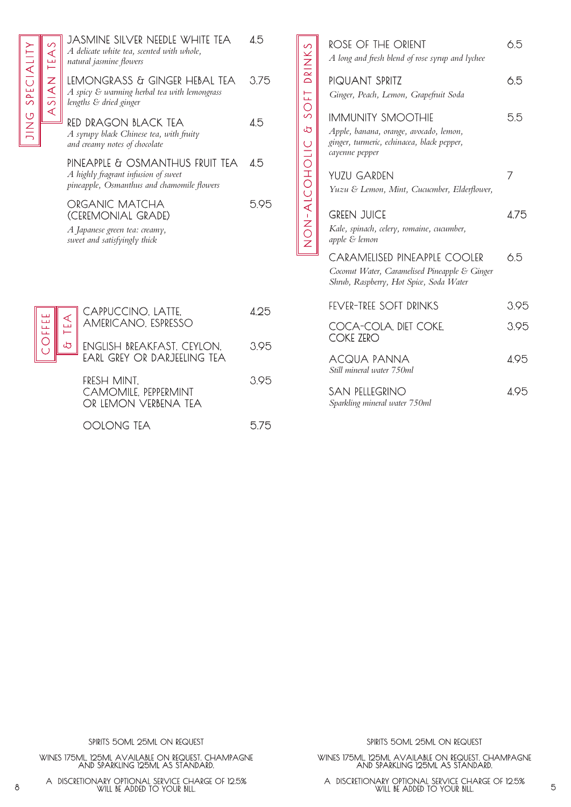|            | JASMINE SILVER NEEDLE WHITE TEA<br>A delicate white tea, scented with whole,                                         | 45  |
|------------|----------------------------------------------------------------------------------------------------------------------|-----|
|            | natural jasmine flowers<br>LEMONGRASS & GINGER HEBAL TEA                                                             | 375 |
| ASIAN TEAS | A spicy & warming herbal tea with lemongrass<br>lengths & dried ginger                                               |     |
|            | RED DRAGON BLACK TEA<br>A syrupy black Chinese tea, with fruity<br>and creamy notes of chocolate                     | 45  |
|            | PINEAPPLE & OSMANTHUS FRUIT TEA<br>A highly fragrant infusion of sweet<br>pineapple, Osmanthus and chamomile flowers | 45  |
|            | ORGANIC MATCHA<br>(CEREMONIAL GRADE)                                                                                 |     |
|            | A Japanese green tea: creamy,<br>sweet and satisfyingly thick                                                        |     |
|            |                                                                                                                      |     |

JING SPECIALITY

JING SPECIALITY

|    | CAPPUCCINO, LATTE,<br>AMERICANO, ESPRESSO                          | 125  |
|----|--------------------------------------------------------------------|------|
| لت | ENGLISH BREAKFAST, CEYLON,<br>EARL GREY OR DARJEELING TEA          | 3.95 |
|    | FRESH MINT,<br><b>CAMOMILE, PEPPERMINT</b><br>OR LEMON VERBENA TEA | 395  |

OOLONG TEA 5.75

|                | ROSE OF THE ORIENT<br>A long and fresh blend of rose syrup and lychee                                                              | 6.5  |
|----------------|------------------------------------------------------------------------------------------------------------------------------------|------|
| SOFT DRINKS    | PIQUANT SPRITZ<br>Ginger, Peach, Lemon, Grapefruit Soda                                                                            | 6.5  |
|                | <b>IMMUNITY SMOOTHIE</b><br>Apple, banana, orange, avocado, lemon,<br>ginger, turmeric, echinacea, black pepper,<br>cayenne pepper | 5.5  |
|                | <b>YUZU GARDEN</b><br>Yuzu & Lemon, Mint, Cucucmber, Elderflower,                                                                  | 7    |
| b UIOIOUIK-ZOZ | <b>GREEN JUICE</b><br>Kale, spinach, celery, romaine, cucumber,<br>apple & lemon                                                   | 475  |
|                | CARAMELISED PINEAPPLE COOLER<br>Coconut Water, Caramelised Pineapple & Ginger<br>Shrub, Raspberry, Hot Spice, Soda Water           | 6.5  |
|                | FEVER-TREE SOFT DRINKS                                                                                                             | 3.95 |
|                | COCA-COLA, DIET COKE,<br><b>COKE ZERO</b>                                                                                          | 3.95 |
|                | ACQUA PANNA<br>Still mineral water 7.50ml                                                                                          | 4.95 |
|                | <b>SAN PELLEGRINO</b>                                                                                                              | 4.95 |

*Sparkling mineral water 750ml*

WINES 175ML, 125ML AVAILABLE ON REQUEST. CHAMPAGNE AND SPARKLING 125ML AS STANDARD.

A DISCRETIONARY OPTIONAL SERVICE CHARGE OF 12.5% WILL BE ADDED TO YOUR BILL.

SPIRITS 50ML 25ML ON REQUEST

WINES 175ML, 125ML AVAILABLE ON REQUEST. CHAMPAGNE AND SPARKLING 125ML AS STANDARD.

8 5 A DISCRETIONARY OPTIONAL SERVICE CHARGE OF 12.5% WILL BE ADDED TO YOUR BILL.